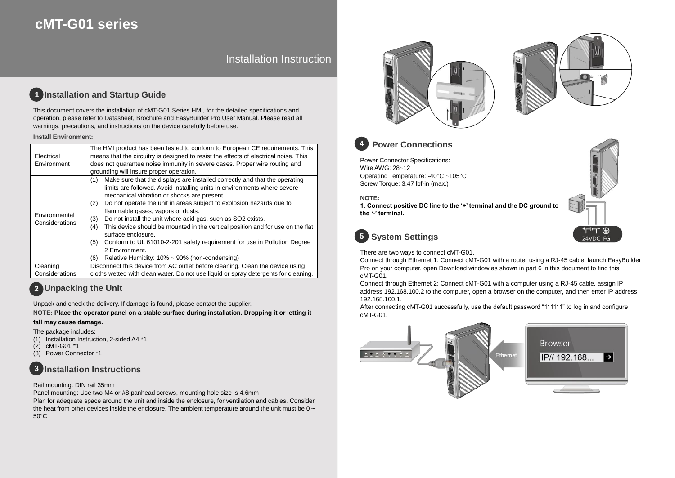# **cMT-G01 series**

# Installation Instruction

### **Installation and Startup Guide 1**

This document covers the installation of cMT-G01 Series HMI, for the detailed specifications and operation, please refer to Datasheet, Brochure and EasyBuilder Pro User Manual. Please read all warnings, precautions, and instructions on the device carefully before use.

### **Install Environment:**

| Electrical<br>Environment       | The HMI product has been tested to conform to European CE requirements. This<br>means that the circuitry is designed to resist the effects of electrical noise. This<br>does not guarantee noise immunity in severe cases. Proper wire routing and<br>grounding will insure proper operation.                                                                                                                                                                                                                                                                                                                                                                                      |  |  |  |
|---------------------------------|------------------------------------------------------------------------------------------------------------------------------------------------------------------------------------------------------------------------------------------------------------------------------------------------------------------------------------------------------------------------------------------------------------------------------------------------------------------------------------------------------------------------------------------------------------------------------------------------------------------------------------------------------------------------------------|--|--|--|
| Environmental<br>Considerations | Make sure that the displays are installed correctly and that the operating<br>(1)<br>limits are followed. Avoid installing units in environments where severe<br>mechanical vibration or shocks are present.<br>Do not operate the unit in areas subject to explosion hazards due to<br>(2)<br>flammable gases, vapors or dusts.<br>Do not install the unit where acid gas, such as SO2 exists.<br>(3)<br>This device should be mounted in the vertical position and for use on the flat<br>(4)<br>surface enclosure.<br>Conform to UL 61010-2-201 safety requirement for use in Pollution Degree<br>(5)<br>2 Environment.<br>Relative Humidity: 10% ~ 90% (non-condensing)<br>(6) |  |  |  |
| Cleaning                        | Disconnect this device from AC outlet before cleaning. Clean the device using                                                                                                                                                                                                                                                                                                                                                                                                                                                                                                                                                                                                      |  |  |  |
|                                 |                                                                                                                                                                                                                                                                                                                                                                                                                                                                                                                                                                                                                                                                                    |  |  |  |
| Considerations                  | cloths wetted with clean water. Do not use liquid or spray detergents for cleaning.                                                                                                                                                                                                                                                                                                                                                                                                                                                                                                                                                                                                |  |  |  |

# **Unpacking the Unit 2**

Unpack and check the delivery. If damage is found, please contact the supplier.

**NOTE: Place the operator panel on a stable surface during installation. Dropping it or letting it** 

## **fall may cause damage.**

The package includes:

- (1) Installation Instruction, 2-sided A4 \*1
- $(2)$  cMT-G01  $*$ 1<br>(3) Power Conn
- Power Connector \*1



### Rail mounting: DIN rail 35mm

Panel mounting: Use two M4 or #8 panhead screws, mounting hole size is 4.6mm Plan for adequate space around the unit and inside the enclosure, for ventilation and cables. Consider the heat from other devices inside the enclosure. The ambient temperature around the unit must be  $0 \sim$ 50°C





### **Power Connections 4**

Power Connector Specifications: Wire AWG: 28~12 Operating Temperature: -40°C ~105°C Screw Torque: 3.47 lbf-in (max.)

**NOTE:** 

**1. Connect positive DC line to the '+' terminal and the DC ground to the '-' terminal.**



# **System Settings 5**

There are two ways to connect cMT-G01.

Connect through Ethernet 1: Connect cMT-G01 with a router using a RJ-45 cable, launch EasyBuilder Pro on your computer, open Download window as shown in part 6 in this document to find this cMT-G01.

Connect through Ethernet 2: Connect cMT-G01 with a computer using a RJ-45 cable, assign IP address 192.168.100.2 to the computer, open a browser on the computer, and then enter IP address 192.168.100.1.

After connecting cMT-G01 successfully, use the default password "111111" to log in and configure cMT-G01.